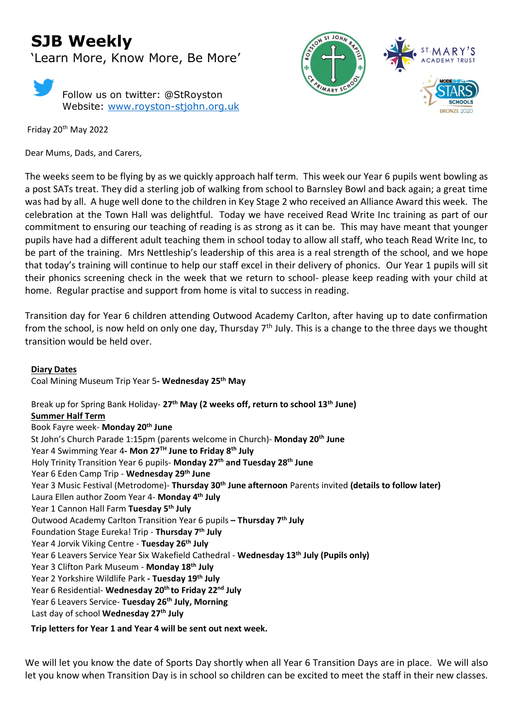# **SJB Weekly**

'Learn More, Know More, Be More'



Friday 20th May 2022

Dear Mums, Dads, and Carers,



The weeks seem to be flying by as we quickly approach half term. This week our Year 6 pupils went bowling as a post SATs treat. They did a sterling job of walking from school to Barnsley Bowl and back again; a great time was had by all. A huge well done to the children in Key Stage 2 who received an Alliance Award this week. The celebration at the Town Hall was delightful. Today we have received Read Write Inc training as part of our commitment to ensuring our teaching of reading is as strong as it can be. This may have meant that younger pupils have had a different adult teaching them in school today to allow all staff, who teach Read Write Inc, to be part of the training. Mrs Nettleship's leadership of this area is a real strength of the school, and we hope that today's training will continue to help our staff excel in their delivery of phonics. Our Year 1 pupils will sit their phonics screening check in the week that we return to school- please keep reading with your child at home. Regular practise and support from home is vital to success in reading.

Transition day for Year 6 children attending Outwood Academy Carlton, after having up to date confirmation from the school, is now held on only one day, Thursday 7<sup>th</sup> July. This is a change to the three days we thought transition would be held over.

**Diary Dates** Coal Mining Museum Trip Year 5**- Wednesday 25th May** 

Break up for Spring Bank Holiday- **27th May (2 weeks off, return to school 13th June) Summer Half Term** Book Fayre week- **Monday 20th June** St John's Church Parade 1:15pm (parents welcome in Church)- **Monday 20th June** Year 4 Swimming Year 4**- Mon 27TH June to Friday 8th July** Holy Trinity Transition Year 6 pupils- **Monday 27 th and Tuesday 28 th June** Year 6 Eden Camp Trip - **Wednesday 29th June** Year 3 Music Festival (Metrodome)- **Thursday 30th June afternoon** Parents invited **(details to follow later)** Laura Ellen author Zoom Year 4- **Monday 4th July**  Year 1 Cannon Hall Farm **Tuesday 5th July** Outwood Academy Carlton Transition Year 6 pupils **– Thursday 7th July** Foundation Stage Eureka! Trip - **Thursday 7th July** Year 4 Jorvik Viking Centre - **Tuesday 26th July** Year 6 Leavers Service Year Six Wakefield Cathedral - **Wednesday 13th July (Pupils only)** Year 3 Clifton Park Museum - **Monday 18th July** Year 2 Yorkshire Wildlife Park **- Tuesday 19th July** Year 6 Residential- **Wednesday 20th to Friday 22 nd July** Year 6 Leavers Service- **Tuesday 26th July, Morning** Last day of school **Wednesday 27th July Trip letters for Year 1 and Year 4 will be sent out next week.**

We will let you know the date of Sports Day shortly when all Year 6 Transition Days are in place. We will also let you know when Transition Day is in school so children can be excited to meet the staff in their new classes.